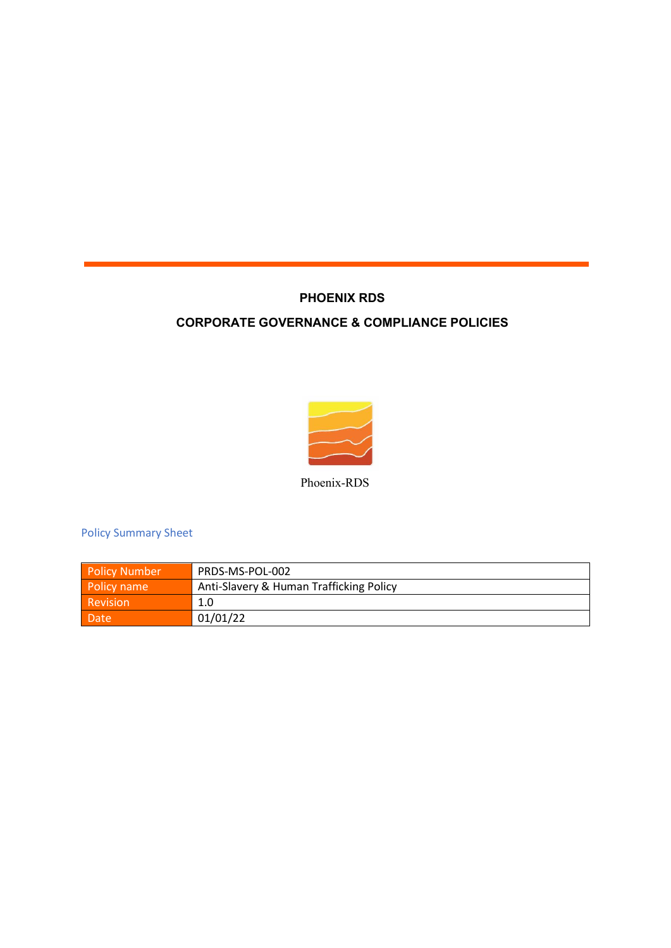## **PHOENIX RDS**

## **CORPORATE GOVERNANCE & COMPLIANCE POLICIES**



Phoenix-RDS

Policy Summary Sheet

| <b>Policy Number</b> | PRDS-MS-POL-002                         |
|----------------------|-----------------------------------------|
| Policy name          | Anti-Slavery & Human Trafficking Policy |
| Revision             | 1.0                                     |
| Date                 | 01/01/22                                |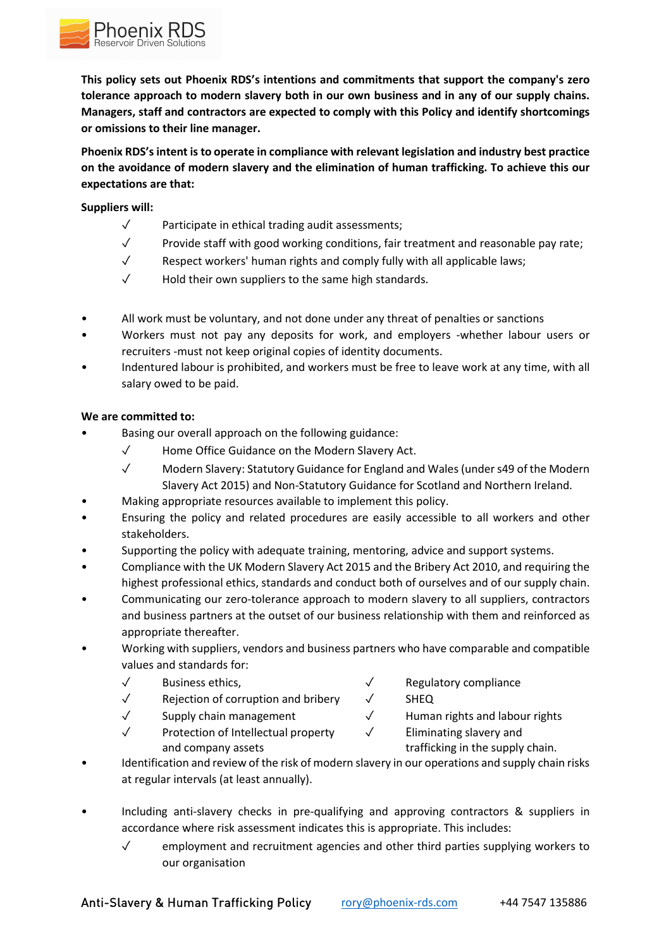

**This policy sets out Phoenix RDS's intentions and commitments that support the company's zero tolerance approach to modern slavery both in our own business and in any of our supply chains. Managers, staff and contractors are expected to comply with this Policy and identify shortcomings or omissions to their line manager.** 

**Phoenix RDS's intent is to operate in compliance with relevant legislation and industry best practice on the avoidance of modern slavery and the elimination of human trafficking. To achieve this our expectations are that:**

## **Suppliers will:**

- ✓ Participate in ethical trading audit assessments;
- $\checkmark$  Provide staff with good working conditions, fair treatment and reasonable pay rate;
- ✓ Respect workers' human rights and comply fully with all applicable laws;
- ✓ Hold their own suppliers to the same high standards.
- All work must be voluntary, and not done under any threat of penalties or sanctions
- Workers must not pay any deposits for work, and employers -whether labour users or recruiters -must not keep original copies of identity documents.
- Indentured labour is prohibited, and workers must be free to leave work at any time, with all salary owed to be paid.

## **We are committed to:**

- Basing our overall approach on the following guidance:
	- ✓ Home Office Guidance on the Modern Slavery Act.
	- ✓ Modern Slavery: Statutory Guidance for England and Wales (under s49 of the Modern Slavery Act 2015) and Non-Statutory Guidance for Scotland and Northern Ireland.
- Making appropriate resources available to implement this policy.
- Ensuring the policy and related procedures are easily accessible to all workers and other stakeholders.
- Supporting the policy with adequate training, mentoring, advice and support systems.
- Compliance with the UK Modern Slavery Act 2015 and the Bribery Act 2010, and requiring the highest professional ethics, standards and conduct both of ourselves and of our supply chain.
- Communicating our zero-tolerance approach to modern slavery to all suppliers, contractors and business partners at the outset of our business relationship with them and reinforced as appropriate thereafter.
- Working with suppliers, vendors and business partners who have comparable and compatible values and standards for:
	-
	- ✓ Rejection of corruption and bribery ✓ SHEQ
	-
	- ✓ Protection of Intellectual property ✓ Eliminating slavery and and company assets the supply chain.
	- ✓ Business ethics, ✓ Regulatory compliance
		-
	- ✓ Supply chain management ✓ Human rights and labour rights
		-
- Identification and review of the risk of modern slavery in our operations and supply chain risks at regular intervals (at least annually).
- Including anti-slavery checks in pre-qualifying and approving contractors & suppliers in accordance where risk assessment indicates this is appropriate. This includes:
	- $\checkmark$  employment and recruitment agencies and other third parties supplying workers to our organisation